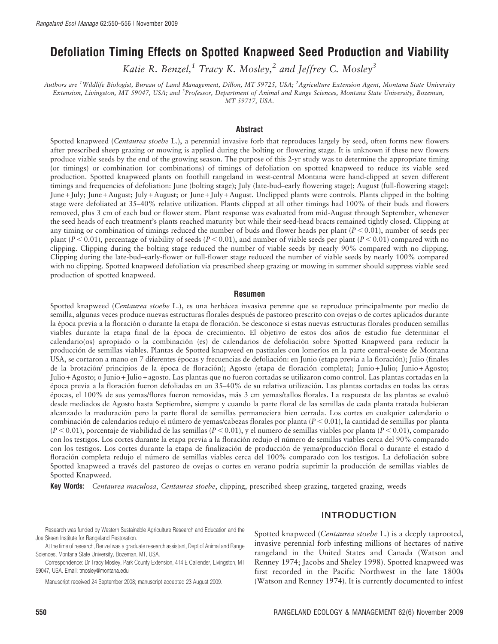# Defoliation Timing Effects on Spotted Knapweed Seed Production and Viability

Katie R. Benzel,<sup>1</sup> Tracy K. Mosley,<sup>2</sup> and Jeffrey C. Mosley<sup>3</sup>

Authors are <sup>1</sup>Wildlife Biologist, Bureau of Land Management, Dillon, MT 59725, USA; <sup>2</sup>Agriculture Extension Agent, Montana State University Extension, Livingston, MT 59047, USA; and <sup>3</sup>Professor, Department of Animal and Range Sciences, Montana State University, Bozeman,

MT 59717, USA.

#### **Abstract**

Spotted knapweed (Centaurea stoebe L.), a perennial invasive forb that reproduces largely by seed, often forms new flowers after prescribed sheep grazing or mowing is applied during the bolting or flowering stage. It is unknown if these new flowers produce viable seeds by the end of the growing season. The purpose of this 2-yr study was to determine the appropriate timing (or timings) or combination (or combinations) of timings of defoliation on spotted knapweed to reduce its viable seed production. Spotted knapweed plants on foothill rangeland in west-central Montana were hand-clipped at seven different timings and frequencies of defoliation: June (bolting stage); July (late-bud–early flowering stage); August (full-flowering stage); June + July; June + August; July + August; or June + July + August. Unclipped plants were controls. Plants clipped in the bolting stage were defoliated at 35–40% relative utilization. Plants clipped at all other timings had 100% of their buds and flowers removed, plus 3 cm of each bud or flower stem. Plant response was evaluated from mid-August through September, whenever the seed heads of each treatment's plants reached maturity but while their seed-head bracts remained tightly closed. Clipping at any timing or combination of timings reduced the number of buds and flower heads per plant ( $P < 0.01$ ), number of seeds per plant (P < 0.01), percentage of viability of seeds (P < 0.01), and number of viable seeds per plant (P < 0.01) compared with no clipping. Clipping during the bolting stage reduced the number of viable seeds by nearly 90% compared with no clipping. Clipping during the late-bud–early-flower or full-flower stage reduced the number of viable seeds by nearly 100% compared with no clipping. Spotted knapweed defoliation via prescribed sheep grazing or mowing in summer should suppress viable seed production of spotted knapweed.

#### Resumen

Spotted knapweed (Centaurea stoebe L.), es una herbácea invasiva perenne que se reproduce principalmente por medio de semilla, algunas veces produce nuevas estructuras florales después de pastoreo prescrito con ovejas o de cortes aplicados durante la época previa a la floración o durante la etapa de floración. Se desconoce si estas nuevas estructuras florales producen semillas viables durante la etapa final de la época de crecimiento. El objetivo de estos dos años de estudio fue determinar el calendario(os) apropiado o la combinación (es) de calendarios de defoliación sobre Spotted Knapweed para reducir la producción de semillas viables. Plantas de Spotted knapweed en pastizales con lomeríos en la parte central-oeste de Montana USA, se cortaron a mano en 7 diferentes épocas y frecuencias de defoliación: en Junio (etapa previa a la floración); Julio (finales de la brotación/ principios de la época de floración); Agosto (etapa de floración completa); Junio + Julio; Junio + Agosto; Julio + Agosto; o Junio + Julio + agosto. Las plantas que no fueron cortadas se utilizaron como control. Las plantas cortadas en la época previa a la floración fueron defoliadas en un 35–40% de su relativa utilización. Las plantas cortadas en todas las otras e´pocas, el 100% de sus yemas/flores fueron removidas, ma´s 3 cm yemas/tallos florales. La respuesta de las plantas se evaluo´ desde mediados de Agosto hasta Septiembre, siempre y cuando la parte floral de las semillas de cada planta tratada hubieran alcanzado la maduración pero la parte floral de semillas permaneciera bien cerrada. Los cortes en cualquier calendario o combinación de calendarios redujo el número de yemas/cabezas florales por planta ( $P < 0.01$ ), la cantidad de semillas por planta  $(P< 0.01)$ , porcentaje de viabilidad de las semillas  $(P< 0.01)$ , y el numero de semillas viables por planta  $(P< 0.01)$ , comparado con los testigos. Los cortes durante la etapa previa a la floración redujo el número de semillas viables cerca del 90% comparado con los testigos. Los cortes durante la etapa de finalización de producción de yema/producción floral o durante el estado d floración completa redujo el número de semillas viables cerca del 100% comparado con los testigos. La defoliación sobre Spotted knapweed a través del pastoreo de ovejas o cortes en verano podría suprimir la producción de semillas viables de Spotted Knapweed.

Key Words: Centaurea maculosa, Centaurea stoebe, clipping, prescribed sheep grazing, targeted grazing, weeds

#### INTRODUCTION

Spotted knapweed (Centaurea stoebe L.) is a deeply taprooted, invasive perennial forb infesting millions of hectares of native rangeland in the United States and Canada (Watson and Renney 1974; Jacobs and Sheley 1998). Spotted knapweed was first recorded in the Pacific Northwest in the late 1800s (Watson and Renney 1974). It is currently documented to infest

Research was funded by Western Sustainable Agriculture Research and Education and the Joe Skeen Institute for Rangeland Restoration.

At the time of research, Benzel was a graduate research assistant, Dept of Animal and Range Sciences, Montana State University, Bozeman, MT, USA.

Correspondence: Dr Tracy Mosley, Park County Extension, 414 E Callender, Livingston, MT 59047, USA. Email: tmosley@montana.edu

Manuscript received 24 September 2008; manuscript accepted 23 August 2009.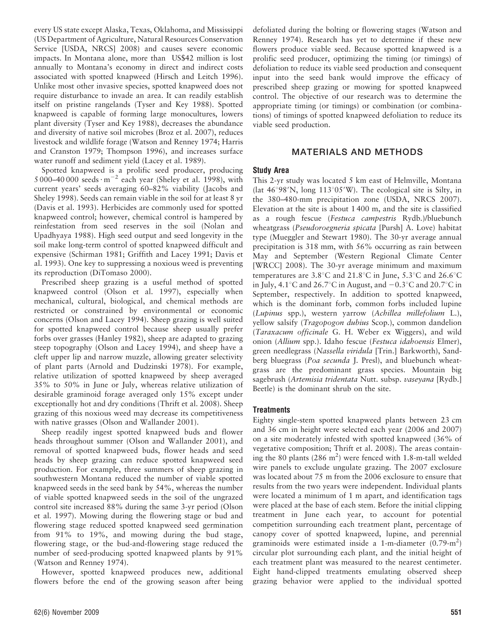every US state except Alaska, Texas, Oklahoma, and Mississippi (US Department of Agriculture, Natural Resources Conservation Service [USDA, NRCS] 2008) and causes severe economic impacts. In Montana alone, more than US\$42 million is lost annually to Montana's economy in direct and indirect costs associated with spotted knapweed (Hirsch and Leitch 1996). Unlike most other invasive species, spotted knapweed does not require disturbance to invade an area. It can readily establish itself on pristine rangelands (Tyser and Key 1988). Spotted knapweed is capable of forming large monocultures, lowers plant diversity (Tyser and Key 1988), decreases the abundance and diversity of native soil microbes (Broz et al. 2007), reduces livestock and wildlife forage (Watson and Renney 1974; Harris and Cranston 1979; Thompson 1996), and increases surface water runoff and sediment yield (Lacey et al. 1989).

Spotted knapweed is a prolific seed producer, producing 5 000-40 000 seeds $\cdot$ m<sup>-2</sup> each year (Sheley et al. 1998), with current years' seeds averaging 60–82% viability (Jacobs and Sheley 1998). Seeds can remain viable in the soil for at least 8 yr (Davis et al. 1993). Herbicides are commonly used for spotted knapweed control; however, chemical control is hampered by reinfestation from seed reserves in the soil (Nolan and Upadhyaya 1988). High seed output and seed longevity in the soil make long-term control of spotted knapweed difficult and expensive (Schirman 1981; Griffith and Lacey 1991; Davis et al. 1993). One key to suppressing a noxious weed is preventing its reproduction (DiTomaso 2000).

Prescribed sheep grazing is a useful method of spotted knapweed control (Olson et al. 1997), especially when mechanical, cultural, biological, and chemical methods are restricted or constrained by environmental or economic concerns (Olson and Lacey 1994). Sheep grazing is well suited for spotted knapweed control because sheep usually prefer forbs over grasses (Hanley 1982), sheep are adapted to grazing steep topography (Olson and Lacey 1994), and sheep have a cleft upper lip and narrow muzzle, allowing greater selectivity of plant parts (Arnold and Dudzinski 1978). For example, relative utilization of spotted knapweed by sheep averaged 35% to 50% in June or July, whereas relative utilization of desirable graminoid forage averaged only 15% except under exceptionally hot and dry conditions (Thrift et al. 2008). Sheep grazing of this noxious weed may decrease its competitiveness with native grasses (Olson and Wallander 2001).

Sheep readily ingest spotted knapweed buds and flower heads throughout summer (Olson and Wallander 2001), and removal of spotted knapweed buds, flower heads and seed heads by sheep grazing can reduce spotted knapweed seed production. For example, three summers of sheep grazing in southwestern Montana reduced the number of viable spotted knapweed seeds in the seed bank by 54%, whereas the number of viable spotted knapweed seeds in the soil of the ungrazed control site increased 88% during the same 3-yr period (Olson et al. 1997). Mowing during the flowering stage or bud and flowering stage reduced spotted knapweed seed germination from 91% to 19%, and mowing during the bud stage, flowering stage, or the bud-and-flowering stage reduced the number of seed-producing spotted knapweed plants by 91% (Watson and Renney 1974).

However, spotted knapweed produces new, additional flowers before the end of the growing season after being

defoliated during the bolting or flowering stages (Watson and Renney 1974). Research has yet to determine if these new flowers produce viable seed. Because spotted knapweed is a prolific seed producer, optimizing the timing (or timings) of defoliation to reduce its viable seed production and consequent input into the seed bank would improve the efficacy of prescribed sheep grazing or mowing for spotted knapweed control. The objective of our research was to determine the appropriate timing (or timings) or combination (or combinations) of timings of spotted knapweed defoliation to reduce its viable seed production.

## MATERIALS AND METHODS

#### Study Area

This 2-yr study was located 5 km east of Helmville, Montana (lat  $46^{\circ}98'$ N, long  $113^{\circ}05'$ W). The ecological site is Silty, in the 380–480-mm precipitation zone (USDA, NRCS 2007). Elevation at the site is about 1 400 m, and the site is classified as a rough fescue (Festuca campestris Rydb.)/bluebunch wheatgrass (Pseudoroegneria spicata [Pursh] A. Love) habitat type (Mueggler and Stewart 1980). The 30-yr average annual precipitation is 318 mm, with 56% occurring as rain between May and September (Western Regional Climate Center [WRCC] 2008). The 30-yr average minimum and maximum temperatures are  $3.8^{\circ}$ C and  $21.8^{\circ}$ C in June,  $5.3^{\circ}$ C and  $26.6^{\circ}$ C in July, 4.1<sup>o</sup>C and 26.7<sup>o</sup>C in August, and  $-0.3$ <sup>o</sup>C and 20.7<sup>o</sup>C in September, respectively. In addition to spotted knapweed, which is the dominant forb, common forbs included lupine (Lupinus spp.), western yarrow (Achillea millefolium L.), yellow salsify (Tragopogon dubius Scop.), common dandelion (Taraxacum officinale G. H. Weber ex Wiggers), and wild onion (Allium spp.). Idaho fescue (Festuca idahoensis Elmer), green needlegrass (Nassella viridula [Trin.] Barkworth), Sandberg bluegrass (*Poa secunda* J. Presl), and bluebunch wheatgrass are the predominant grass species. Mountain big sagebrush (Artemisia tridentata Nutt. subsp. vaseyana [Rydb.] Beetle) is the dominant shrub on the site.

#### **Treatments**

Eighty single-stem spotted knapweed plants between 23 cm and 36 cm in height were selected each year (2006 and 2007) on a site moderately infested with spotted knapweed (36% of vegetative composition; Thrift et al. 2008). The areas containing the 80 plants  $(286 \text{ m}^2)$  were fenced with 1.8-m-tall welded wire panels to exclude ungulate grazing. The 2007 exclosure was located about 75 m from the 2006 exclosure to ensure that results from the two years were independent. Individual plants were located a minimum of 1 m apart, and identification tags were placed at the base of each stem. Before the initial clipping treatment in June each year, to account for potential competition surrounding each treatment plant, percentage of canopy cover of spotted knapweed, lupine, and perennial graminoids were estimated inside a 1-m-diameter  $(0.79-m^2)$ circular plot surrounding each plant, and the initial height of each treatment plant was measured to the nearest centimeter. Eight hand-clipped treatments emulating observed sheep grazing behavior were applied to the individual spotted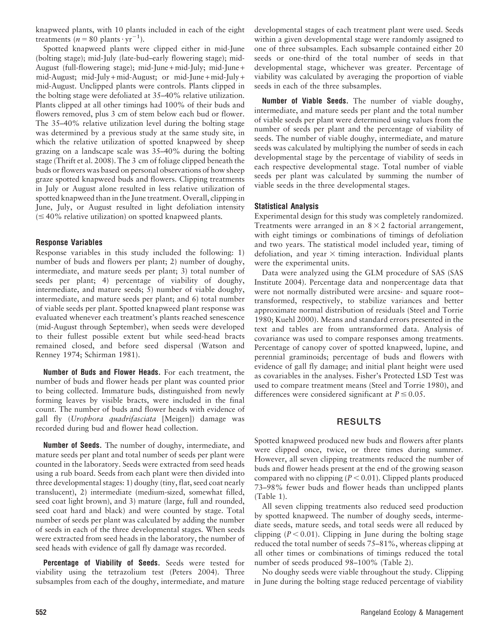knapweed plants, with 10 plants included in each of the eight treatments  $(n = 80 \text{ plants} \cdot \text{yr}^{-1})$ .

Spotted knapweed plants were clipped either in mid-June (bolting stage); mid-July (late-bud–early flowering stage); mid-August (full-flowering stage); mid-June + mid-July; mid-June + mid-August; mid-July + mid-August; or mid-June + mid-July + mid-August. Unclipped plants were controls. Plants clipped in the bolting stage were defoliated at 35–40% relative utilization. Plants clipped at all other timings had 100% of their buds and flowers removed, plus 3 cm of stem below each bud or flower. The 35–40% relative utilization level during the bolting stage was determined by a previous study at the same study site, in which the relative utilization of spotted knapweed by sheep grazing on a landscape scale was 35–40% during the bolting stage (Thrift et al. 2008). The 3 cm of foliage clipped beneath the buds or flowers was based on personal observations of how sheep graze spotted knapweed buds and flowers. Clipping treatments in July or August alone resulted in less relative utilization of spotted knapweed than in the June treatment. Overall, clipping in June, July, or August resulted in light defoliation intensity  $( \leq 40\%$  relative utilization) on spotted knapweed plants.

## Response Variables

Response variables in this study included the following: 1) number of buds and flowers per plant; 2) number of doughy, intermediate, and mature seeds per plant; 3) total number of seeds per plant; 4) percentage of viability of doughy, intermediate, and mature seeds; 5) number of viable doughy, intermediate, and mature seeds per plant; and 6) total number of viable seeds per plant. Spotted knapweed plant response was evaluated whenever each treatment's plants reached senescence (mid-August through September), when seeds were developed to their fullest possible extent but while seed-head bracts remained closed, and before seed dispersal (Watson and Renney 1974; Schirman 1981).

Number of Buds and Flower Heads. For each treatment, the number of buds and flower heads per plant was counted prior to being collected. Immature buds, distinguished from newly forming leaves by visible bracts, were included in the final count. The number of buds and flower heads with evidence of gall fly (Urophora quadrifasciata [Meigen]) damage was recorded during bud and flower head collection.

**Number of Seeds.** The number of doughy, intermediate, and mature seeds per plant and total number of seeds per plant were counted in the laboratory. Seeds were extracted from seed heads using a rub board. Seeds from each plant were then divided into three developmental stages: 1) doughy (tiny, flat, seed coat nearly translucent), 2) intermediate (medium-sized, somewhat filled, seed coat light brown), and 3) mature (large, full and rounded, seed coat hard and black) and were counted by stage. Total number of seeds per plant was calculated by adding the number of seeds in each of the three developmental stages. When seeds were extracted from seed heads in the laboratory, the number of seed heads with evidence of gall fly damage was recorded.

Percentage of Viability of Seeds. Seeds were tested for viability using the tetrazolium test (Peters 2004). Three subsamples from each of the doughy, intermediate, and mature developmental stages of each treatment plant were used. Seeds within a given developmental stage were randomly assigned to one of three subsamples. Each subsample contained either 20 seeds or one-third of the total number of seeds in that developmental stage, whichever was greater. Percentage of viability was calculated by averaging the proportion of viable seeds in each of the three subsamples.

Number of Viable Seeds. The number of viable doughy, intermediate, and mature seeds per plant and the total number of viable seeds per plant were determined using values from the number of seeds per plant and the percentage of viability of seeds. The number of viable doughy, intermediate, and mature seeds was calculated by multiplying the number of seeds in each developmental stage by the percentage of viability of seeds in each respective developmental stage. Total number of viable seeds per plant was calculated by summing the number of viable seeds in the three developmental stages.

## Statistical Analysis

Experimental design for this study was completely randomized. Treatments were arranged in an  $8 \times 2$  factorial arrangement, with eight timings or combinations of timings of defoliation and two years. The statistical model included year, timing of defoliation, and year  $\times$  timing interaction. Individual plants were the experimental units.

Data were analyzed using the GLM procedure of SAS (SAS Institute 2004). Percentage data and nonpercentage data that were not normally distributed were arcsine- and square root– transformed, respectively, to stabilize variances and better approximate normal distribution of residuals (Steel and Torrie 1980; Kuehl 2000). Means and standard errors presented in the text and tables are from untransformed data. Analysis of covariance was used to compare responses among treatments. Percentage of canopy cover of spotted knapweed, lupine, and perennial graminoids; percentage of buds and flowers with evidence of gall fly damage; and initial plant height were used as covariables in the analyses. Fisher's Protected LSD Test was used to compare treatment means (Steel and Torrie 1980), and differences were considered significant at  $P \le 0.05$ .

# RESULTS

Spotted knapweed produced new buds and flowers after plants were clipped once, twice, or three times during summer. However, all seven clipping treatments reduced the number of buds and flower heads present at the end of the growing season compared with no clipping ( $P < 0.01$ ). Clipped plants produced 73–98% fewer buds and flower heads than unclipped plants (Table 1).

All seven clipping treatments also reduced seed production by spotted knapweed. The number of doughy seeds, intermediate seeds, mature seeds, and total seeds were all reduced by clipping ( $P < 0.01$ ). Clipping in June during the bolting stage reduced the total number of seeds 75–81%, whereas clipping at all other times or combinations of timings reduced the total number of seeds produced 98–100% (Table 2).

No doughy seeds were viable throughout the study. Clipping in June during the bolting stage reduced percentage of viability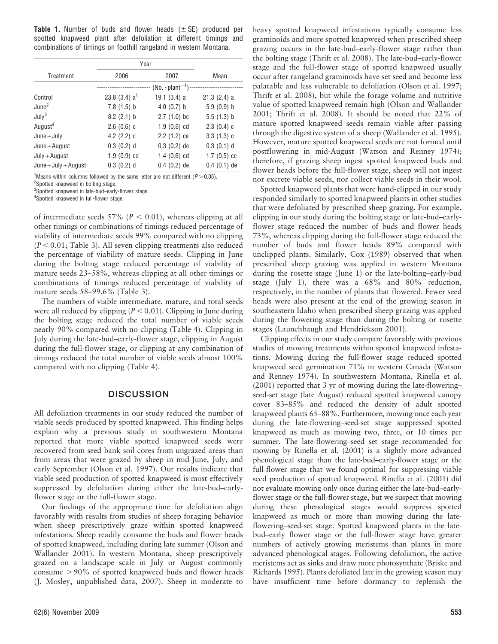**Table 1.** Number of buds and flower heads ( $\pm$  SE) produced per spotted knapweed plant after defoliation at different timings and combinations of timings on foothill rangeland in western Montana.

|                        | Year                       |                |               |  |  |  |
|------------------------|----------------------------|----------------|---------------|--|--|--|
| Treatment              | 2006                       | 2007           | Mean          |  |  |  |
|                        | $(No. \cdot plant^{-1})$ - |                |               |  |  |  |
| Control                | 23.8 (3.4) $a^1$           | 19.1 $(3.4)$ a | $21.3(2.4)$ a |  |  |  |
| June <sup>2</sup>      | 7.8(1.5) b                 | 4.0 $(0.7)$ b  | 5.9(0.9) b    |  |  |  |
| July <sup>3</sup>      | $8.2$ (2.1) b              | $2.7(1.0)$ bc  | 5.5(1.3) b    |  |  |  |
| August <sup>4</sup>    | 2.6(0.6)c                  | $1.9(0.6)$ cd  | 2.3(0.4)c     |  |  |  |
| $June + July$          | 4.2 $(2.2)$ c              | $2.2(1.2)$ ce  | 3.3(1.3)c     |  |  |  |
| $June + August$        | $0.3(0.2)$ d               | $0.3(0.2)$ de  | $0.3(0.1)$ d  |  |  |  |
| $July + August$        | $1.9(0.9)$ cd              | $1.4(0.6)$ cd  | $1.7(0.5)$ ce |  |  |  |
| $June + July + August$ | $0.3(0.2)$ d               | $0.4(0.2)$ de  | $0.4(0.1)$ de |  |  |  |

<sup>1</sup>Means within columns followed by the same letter are not different ( $P > 0.05$ ).

<sup>2</sup>Spotted knapweed in bolting stage.

<sup>3</sup>Spotted knapweed in late-bud–early-flower stage.

4 Spotted knapweed in full-flower stage.

of intermediate seeds  $57\%$  ( $P < 0.01$ ), whereas clipping at all other timings or combinations of timings reduced percentage of viability of intermediate seeds 99% compared with no clipping  $(P < 0.01$ ; Table 3). All seven clipping treatments also reduced the percentage of viability of mature seeds. Clipping in June during the bolting stage reduced percentage of viability of mature seeds 23–58%, whereas clipping at all other timings or combinations of timings reduced percentage of viability of mature seeds 58–99.6% (Table 3).

The numbers of viable intermediate, mature, and total seeds were all reduced by clipping ( $P < 0.01$ ). Clipping in June during the bolting stage reduced the total number of viable seeds nearly 90% compared with no clipping (Table 4). Clipping in July during the late-bud–early-flower stage, clipping in August during the full-flower stage, or clipping at any combination of timings reduced the total number of viable seeds almost 100% compared with no clipping (Table 4).

#### **DISCUSSION**

All defoliation treatments in our study reduced the number of viable seeds produced by spotted knapweed. This finding helps explain why a previous study in southwestern Montana reported that more viable spotted knapweed seeds were recovered from seed bank soil cores from ungrazed areas than from areas that were grazed by sheep in mid-June, July, and early September (Olson et al. 1997). Our results indicate that viable seed production of spotted knapweed is most effectively suppressed by defoliation during either the late-bud–earlyflower stage or the full-flower stage.

Our findings of the appropriate time for defoliation align favorably with results from studies of sheep foraging behavior when sheep prescriptively graze within spotted knapweed infestations. Sheep readily consume the buds and flower heads of spotted knapweed, including during late summer (Olson and Wallander 2001). In western Montana, sheep prescriptively grazed on a landscape scale in July or August commonly consume  $> 90\%$  of spotted knapweed buds and flower heads (J. Mosley, unpublished data, 2007). Sheep in moderate to

heavy spotted knapweed infestations typically consume less graminoids and more spotted knapweed when prescribed sheep grazing occurs in the late-bud–early-flower stage rather than the bolting stage (Thrift et al. 2008). The late-bud–early-flower stage and the full-flower stage of spotted knapweed usually occur after rangeland graminoids have set seed and become less palatable and less vulnerable to defoliation (Olson et al. 1997; Thrift et al. 2008), but while the forage volume and nutritive value of spotted knapweed remain high (Olson and Wallander 2001; Thrift et al. 2008). It should be noted that 22% of mature spotted knapweed seeds remain viable after passing through the digestive system of a sheep (Wallander et al. 1995). However, mature spotted knapweed seeds are not formed until postflowering in mid-August (Watson and Renney 1974); therefore, if grazing sheep ingest spotted knapweed buds and flower heads before the full-flower stage, sheep will not ingest nor excrete viable seeds, nor collect viable seeds in their wool.

Spotted knapweed plants that were hand-clipped in our study responded similarly to spotted knapweed plants in other studies that were defoliated by prescribed sheep grazing. For example, clipping in our study during the bolting stage or late-bud–earlyflower stage reduced the number of buds and flower heads 73%, whereas clipping during the full-flower stage reduced the number of buds and flower heads 89% compared with unclipped plants. Similarly, Cox (1989) observed that when prescribed sheep grazing was applied in western Montana during the rosette stage (June 1) or the late-bolting–early-bud stage (July 1), there was a 68% and 80% reduction, respectively, in the number of plants that flowered. Fewer seed heads were also present at the end of the growing season in southeastern Idaho when prescribed sheep grazing was applied during the flowering stage than during the bolting or rosette stages (Launchbaugh and Hendrickson 2001).

Clipping effects in our study compare favorably with previous studies of mowing treatments within spotted knapweed infestations. Mowing during the full-flower stage reduced spotted knapweed seed germination 71% in western Canada (Watson and Renney 1974). In southwestern Montana, Rinella et al. (2001) reported that 3 yr of mowing during the late-flowering– seed-set stage (late August) reduced spotted knapweed canopy cover 83–85% and reduced the density of adult spotted knapweed plants 65–88%. Furthermore, mowing once each year during the late-flowering–seed-set stage suppressed spotted knapweed as much as mowing two, three, or 10 times per summer. The late-flowering–seed set stage recommended for mowing by Rinella et al. (2001) is a slightly more advanced phenological stage than the late-bud–early-flower stage or the full-flower stage that we found optimal for suppressing viable seed production of spotted knapweed. Rinella et al. (2001) did not evaluate mowing only once during either the late-bud–earlyflower stage or the full-flower stage, but we suspect that mowing during these phenological stages would suppress spotted knapweed as much or more than mowing during the lateflowering–seed-set stage. Spotted knapweed plants in the latebud–early flower stage or the full-flower stage have greater numbers of actively growing meristems than plants in more advanced phenological stages. Following defoliation, the active meristems act as sinks and draw more photosynthate (Briske and Richards 1995). Plants defoliated late in the growing season may have insufficient time before dormancy to replenish the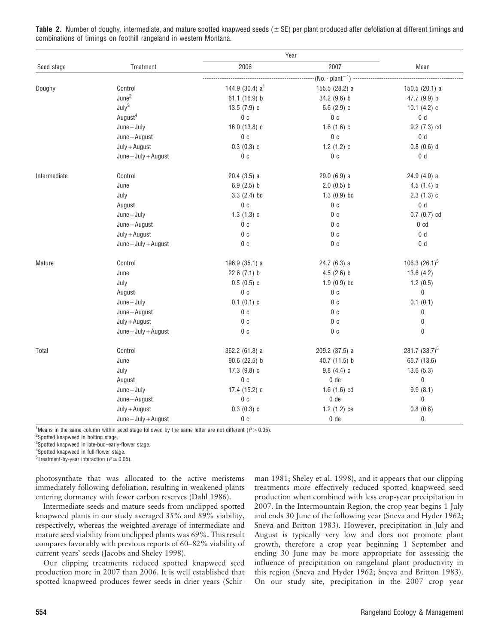|              |                        | Year               |                          |                  |
|--------------|------------------------|--------------------|--------------------------|------------------|
| Seed stage   | Treatment              | 2006               | 2007                     | Mean             |
|              |                        |                    | $(No. \cdot plant^{-1})$ |                  |
| Doughy       | Control                | 144.9 (30.4) $a^1$ | 155.5 (28.2) a           | 150.5 (20.1) a   |
|              | June <sup>2</sup>      | 61.1 (16.9) b      | 34.2 (9.6) b             | 47.7 (9.9) b     |
|              | July <sup>3</sup>      | 13.5 $(7.9)$ c     | 6.6 $(2.9)$ c            | 10.1 $(4.2)$ c   |
|              | August <sup>4</sup>    | 0 <sub>c</sub>     | 0 <sub>c</sub>           | 0 d              |
|              | $June + July$          | 16.0 (13.8) c      | 1.6 $(1.6)$ c            | 9.2 (7.3) cd     |
|              | June + August          | 0 <sub>c</sub>     | 0 <sub>c</sub>           | 0 d              |
|              | July + August          | 0.3(0.3)c          | 1.2 $(1.2)$ c            | $0.8(0.6)$ d     |
|              | $June + July + August$ | $0\,$ c            | $0\,$ c                  | 0 d              |
| Intermediate | Control                | 20.4(3.5) a        | 29.0 (6.9) a             | 24.9(4.0) a      |
|              | June                   | 6.9 $(2.5)$ b      | 2.0(0.5) b               | 4.5 $(1.4)$ b    |
|              | July                   | $3.3$ (2.4) bc     | $1.3(0.9)$ bc            | 2.3(1.3)c        |
|              | August                 | 0 <sub>c</sub>     | 0 <sub>c</sub>           | 0 d              |
|              | $June + July$          | 1.3(1.3)c          | 0 <sub>c</sub>           | $0.7(0.7)$ cd    |
|              | June + August          | 0 <sub>c</sub>     | 0 <sub>c</sub>           | 0 <sub>cd</sub>  |
|              | $July + August$        | 0 <sub>c</sub>     | 0 <sub>c</sub>           | 0 d              |
|              | $June + July + August$ | 0 <sub>c</sub>     | $0\,$ c                  | 0 d              |
| Mature       | Control                | 196.9 (35.1) a     | 24.7 (6.3) a             | 106.3 $(26.1)^5$ |
|              | June                   | 22.6 $(7.1)$ b     | 4.5 $(2.6)$ b            | 13.6(4.2)        |
|              | July                   | 0.5(0.5)c          | $1.9(0.9)$ bc            | 1.2(0.5)         |
|              | August                 | 0 <sub>c</sub>     | 0 <sub>c</sub>           | $\pmb{0}$        |
|              | $June + July$          | 0.1(0.1)c          | 0 <sub>c</sub>           | 0.1(0.1)         |
|              | June + August          | 0 <sub>c</sub>     | 0 <sub>c</sub>           | 0                |
|              | July + August          | 0 <sub>c</sub>     | 0 <sub>c</sub>           | 0                |
|              | $June + July + August$ | 0 <sub>c</sub>     | 0 <sub>c</sub>           | $\mathbf 0$      |
| Total        | Control                | 362.2 (61.8) a     | 209.2 (37.5) a           | 281.7 $(38.7)^5$ |
|              | June                   | $90.6$ (22.5) b    | 40.7 (11.5) b            | 65.7 (13.6)      |
|              | July                   | 17.3 $(9.8)$ c     | 9.8(4.4)c                | 13.6(5.3)        |
|              | August                 | 0 <sub>c</sub>     | 0 <sub>de</sub>          | $\pmb{0}$        |
|              | $June + July$          | 17.4 (15.2) c      | $1.6(1.6)$ cd            | 9.9(8.1)         |
|              | June + August          | $0\,$ c            | 0de                      | $\mathbf 0$      |
|              | July + August          | 0.3(0.3)c          | 1.2 $(1.2)$ ce           | 0.8(0.6)         |
|              | $June + July + August$ | $0\,$ c            | 0de                      | $\pmb{0}$        |

|  | Table 2. Number of doughy, intermediate, and mature spotted knapweed seeds ( $\pm$ SE) per plant produced after defoliation at different timings and |  |  |  |
|--|------------------------------------------------------------------------------------------------------------------------------------------------------|--|--|--|
|  | combinations of timings on foothill rangeland in western Montana.                                                                                    |  |  |  |

<sup>1</sup> Means in the same column within seed stage followed by the same letter are not different ( $P > 0.05$ ).

<sup>2</sup>Spotted knapweed in bolting stage.

3 Spotted knapweed in late-bud–early-flower stage.

4 Spotted knapweed in full-flower stage.

<sup>5</sup>Treatment-by-year interaction ( $P \le 0.05$ ).

photosynthate that was allocated to the active meristems immediately following defoliation, resulting in weakened plants entering dormancy with fewer carbon reserves (Dahl 1986).

Intermediate seeds and mature seeds from unclipped spotted knapweed plants in our study averaged 35% and 89% viability, respectively, whereas the weighted average of intermediate and mature seed viability from unclipped plants was 69%. This result compares favorably with previous reports of 60–82% viability of current years' seeds (Jacobs and Sheley 1998).

Our clipping treatments reduced spotted knapweed seed production more in 2007 than 2006. It is well established that spotted knapweed produces fewer seeds in drier years (Schirman 1981; Sheley et al. 1998), and it appears that our clipping treatments more effectively reduced spotted knapweed seed production when combined with less crop-year precipitation in 2007. In the Intermountain Region, the crop year begins 1 July and ends 30 June of the following year (Sneva and Hyder 1962; Sneva and Britton 1983). However, precipitation in July and August is typically very low and does not promote plant growth, therefore a crop year beginning 1 September and ending 30 June may be more appropriate for assessing the influence of precipitation on rangeland plant productivity in this region (Sneva and Hyder 1962; Sneva and Britton 1983). On our study site, precipitation in the 2007 crop year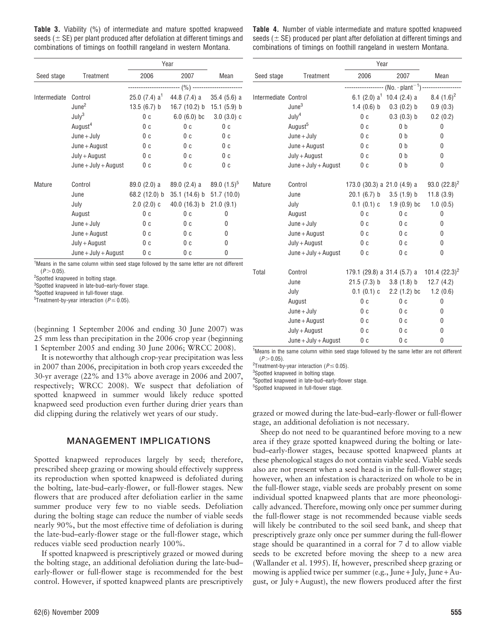Table 3. Viability (%) of intermediate and mature spotted knapweed seeds ( $\pm$  SE) per plant produced after defoliation at different timings and combinations of timings on foothill rangeland in western Montana.

Table 4. Number of viable intermediate and mature spotted knapweed seeds ( $\pm$  SE) produced per plant after defoliation at different timings and combinations of timings on foothill rangeland in western Montana.

|              |                        | Year           |                                            |                            |
|--------------|------------------------|----------------|--------------------------------------------|----------------------------|
| Seed stage   | Treatment              | 2006           | 2007                                       | Mean                       |
|              |                        |                |                                            |                            |
| Intermediate | Control                |                | 25.0 (7.4) $a^1$ 44.8 (7.4) a 35.4 (5.6) a |                            |
|              | June <sup>2</sup>      |                | 13.5 (6.7) b 16.7 (10.2) b 15.1 (5.9) b    |                            |
|              | July <sup>3</sup>      | 0 c            |                                            | 6.0 (6.0) bc $3.0$ (3.0) c |
|              | August <sup>4</sup>    | 0 c            | 0 <sub>c</sub>                             | 0 <sub>c</sub>             |
|              | $June + July$          | 0 <sub>c</sub> | 0 c                                        | 0 c                        |
|              | $June + August$        | 0 <sub>c</sub> | 0 c                                        | 0 c                        |
|              | $July + August$        | 0 c            | 0 c                                        | 0 c                        |
|              | $June + July + August$ | 0с             | 0 c                                        | 0с                         |
| Mature       | Control                | 89.0 (2.0) a   | 89.0 (2.4) a                               | 89.0 $(1.5)^5$             |
|              | June                   | 68.2 (12.0) b  | 35.1 (14.6) b 51.7 (10.0)                  |                            |
|              | July                   | 2.0(2.0)c      | 40.0(16.3) b                               | 21.0(9.1)                  |
|              | August                 | 0 <sub>c</sub> | 0 <sub>c</sub>                             | 0                          |
|              | $June + July$          | 0 c            | 0 c                                        | <sup>0</sup>               |
|              | $June + August$        | 0с             | 0 c                                        | 0                          |
|              | $July + August$        | 0 c            | 0 c                                        | 0                          |
|              | $June + July + August$ | 0с             | 0с                                         | 0                          |

<sup>1</sup>Means in the same column within seed stage followed by the same letter are not different  $(P > 0.05)$ 

<sup>2</sup>Spotted knapweed in bolting stage.

<sup>3</sup>Spotted knapweed in late-bud–early-flower stage.

4 Spotted knapweed in full-flower stage.

<sup>5</sup>Treatment-by-year interaction ( $P \leq 0.05$ ).

(beginning 1 September 2006 and ending 30 June 2007) was 25 mm less than precipitation in the 2006 crop year (beginning 1 September 2005 and ending 30 June 2006; WRCC 2008).

It is noteworthy that although crop-year precipitation was less in 2007 than 2006, precipitation in both crop years exceeded the 30-yr average (22% and 13% above average in 2006 and 2007, respectively; WRCC 2008). We suspect that defoliation of spotted knapweed in summer would likely reduce spotted knapweed seed production even further during drier years than did clipping during the relatively wet years of our study.

# MANAGEMENT IMPLICATIONS

Spotted knapweed reproduces largely by seed; therefore, prescribed sheep grazing or mowing should effectively suppress its reproduction when spotted knapweed is defoliated during the bolting, late-bud–early-flower, or full-flower stages. New flowers that are produced after defoliation earlier in the same summer produce very few to no viable seeds. Defoliation during the bolting stage can reduce the number of viable seeds nearly 90%, but the most effective time of defoliation is during the late-bud–early-flower stage or the full-flower stage, which reduces viable seed production nearly 100%.

If spotted knapweed is prescriptively grazed or mowed during the bolting stage, an additional defoliation during the late-bud– early-flower or full-flower stage is recommended for the best control. However, if spotted knapweed plants are prescriptively

|                      |                        | Year                                                  |                                                     |                 |  |  |
|----------------------|------------------------|-------------------------------------------------------|-----------------------------------------------------|-----------------|--|--|
| Seed stage           | Treatment              | 2006                                                  | 2007                                                | Mean            |  |  |
|                      |                        |                                                       |                                                     |                 |  |  |
| Intermediate Control |                        |                                                       | 6.1 (2.0) $a^1$ 10.4 (2.4) a 8.4 (1.6) <sup>2</sup> |                 |  |  |
|                      | June <sup>3</sup>      |                                                       | 1.4 (0.6) b 0.3 (0.2) b 0.9 (0.3)                   |                 |  |  |
|                      | July <sup>4</sup>      | 0 <sub>c</sub>                                        | $0.3(0.3) b$ 0.2 (0.2)                              |                 |  |  |
|                      | August <sup>5</sup>    | 0 <sub>c</sub>                                        | 0 <sub>b</sub>                                      | 0               |  |  |
|                      | $June + July$          | 0 <sub>c</sub>                                        | 0 <sub>b</sub>                                      | $\mathbf{0}$    |  |  |
|                      | $June + August$        | 0 <sub>c</sub>                                        | 0 <sub>b</sub>                                      | $\mathbf{0}$    |  |  |
|                      | $July + August$        | 0 <sub>c</sub>                                        | 0 <sub>b</sub>                                      | 0               |  |  |
|                      | $June + July + August$ | 0 <sub>c</sub>                                        | 0 <sub>b</sub>                                      | $\mathbf{0}$    |  |  |
| Mature               | Control                | 173.0 (30.3) a 21.0 (4.9) a                           |                                                     | 93.0 $(22.8)^2$ |  |  |
|                      | June                   |                                                       | $20.1$ (6.7) b 3.5 (1.9) b                          | 11.8(3.9)       |  |  |
|                      | July                   |                                                       | $0.1$ (0.1) c $1.9$ (0.9) bc $1.0$ (0.5)            |                 |  |  |
|                      | August                 | 0 <sub>c</sub>                                        | 0 <sub>c</sub>                                      | 0               |  |  |
|                      | $June + July$          | 0 <sub>c</sub>                                        | 0 c                                                 | 0               |  |  |
|                      | $June + August$        | 0 <sub>c</sub>                                        | 0 <sub>c</sub>                                      | 0               |  |  |
|                      | July + August          | 0 <sub>c</sub>                                        | 0 <sub>c</sub>                                      | 0               |  |  |
|                      | $June + July + August$ | 0 <sub>c</sub>                                        | 0 <sub>c</sub>                                      | 0               |  |  |
| Total                | Control                | 179.1 (29.8) a 31.4 (5.7) a 101.4 (22.3) <sup>2</sup> |                                                     |                 |  |  |
|                      | June                   |                                                       | $21.5(7.3) b \t 3.8(1.8) b$                         | 12.7(4.2)       |  |  |
|                      | July                   |                                                       | $0.1$ (0.1) c 2.2 (1.2) bc                          | 1.2(0.6)        |  |  |
|                      | August                 | 0 <sub>c</sub>                                        | 0 <sub>c</sub>                                      | 0               |  |  |
|                      | $June + July$          | 0 <sub>c</sub>                                        | 0с                                                  | 0               |  |  |
|                      | $June + August$        | 0 <sub>c</sub>                                        | 0 <sub>c</sub>                                      | 0               |  |  |
|                      | $July + August$        | 0 <sub>c</sub>                                        | 0 <sub>c</sub>                                      | 0               |  |  |
|                      | $June + July + August$ | 0 <sub>c</sub>                                        | 0 <sub>c</sub>                                      | 0               |  |  |

<sup>1</sup>Means in the same column within seed stage followed by the same letter are not different  $(P > 0.05)$ .

<sup>2</sup>Treatment-by-year interaction ( $P \leq 0.05$ ).

<sup>3</sup>Spotted knapweed in bolting stage.

4 Spotted knapweed in late-bud–early-flower stage.

5 Spotted knapweed in full-flower stage.

grazed or mowed during the late-bud–early-flower or full-flower stage, an additional defoliation is not necessary.

Sheep do not need to be quarantined before moving to a new area if they graze spotted knapweed during the bolting or latebud–early-flower stages, because spotted knapweed plants at these phenological stages do not contain viable seed. Viable seeds also are not present when a seed head is in the full-flower stage; however, when an infestation is characterized on whole to be in the full-flower stage, viable seeds are probably present on some individual spotted knapweed plants that are more pheonologically advanced. Therefore, mowing only once per summer during the full-flower stage is not recommended because viable seeds will likely be contributed to the soil seed bank, and sheep that prescriptively graze only once per summer during the full-flower stage should be quarantined in a corral for 7 d to allow viable seeds to be excreted before moving the sheep to a new area (Wallander et al. 1995). If, however, prescribed sheep grazing or mowing is applied twice per summer (e.g., June + July, June + August, or July + August), the new flowers produced after the first